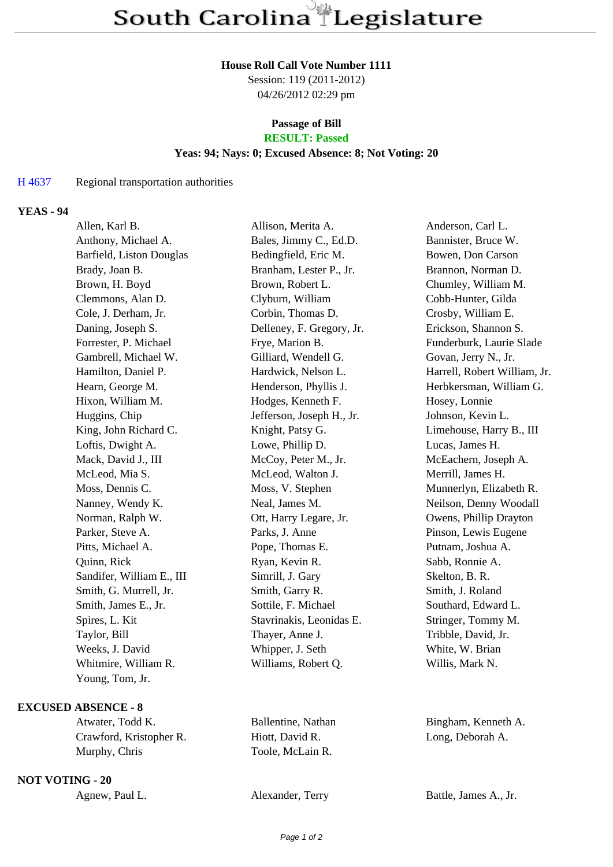#### **House Roll Call Vote Number 1111**

Session: 119 (2011-2012) 04/26/2012 02:29 pm

# **Passage of Bill**

## **RESULT: Passed**

## **Yeas: 94; Nays: 0; Excused Absence: 8; Not Voting: 20**

#### H 4637 Regional transportation authorities

## **YEAS - 94**

| Allen, Karl B.            | Allison, Merita A.        | Anderson, Carl L.            |
|---------------------------|---------------------------|------------------------------|
| Anthony, Michael A.       | Bales, Jimmy C., Ed.D.    | Bannister, Bruce W.          |
| Barfield, Liston Douglas  | Bedingfield, Eric M.      | Bowen, Don Carson            |
| Brady, Joan B.            | Branham, Lester P., Jr.   | Brannon, Norman D.           |
| Brown, H. Boyd            | Brown, Robert L.          | Chumley, William M.          |
| Clemmons, Alan D.         | Clyburn, William          | Cobb-Hunter, Gilda           |
| Cole, J. Derham, Jr.      | Corbin, Thomas D.         | Crosby, William E.           |
| Daning, Joseph S.         | Delleney, F. Gregory, Jr. | Erickson, Shannon S.         |
| Forrester, P. Michael     | Frye, Marion B.           | Funderburk, Laurie Slade     |
| Gambrell, Michael W.      | Gilliard, Wendell G.      | Govan, Jerry N., Jr.         |
| Hamilton, Daniel P.       | Hardwick, Nelson L.       | Harrell, Robert William, Jr. |
| Hearn, George M.          | Henderson, Phyllis J.     | Herbkersman, William G.      |
| Hixon, William M.         | Hodges, Kenneth F.        | Hosey, Lonnie                |
| Huggins, Chip             | Jefferson, Joseph H., Jr. | Johnson, Kevin L.            |
| King, John Richard C.     | Knight, Patsy G.          | Limehouse, Harry B., III     |
| Loftis, Dwight A.         | Lowe, Phillip D.          | Lucas, James H.              |
| Mack, David J., III       | McCoy, Peter M., Jr.      | McEachern, Joseph A.         |
| McLeod, Mia S.            | McLeod, Walton J.         | Merrill, James H.            |
| Moss, Dennis C.           | Moss, V. Stephen          | Munnerlyn, Elizabeth R.      |
| Nanney, Wendy K.          | Neal, James M.            | Neilson, Denny Woodall       |
| Norman, Ralph W.          | Ott, Harry Legare, Jr.    | Owens, Phillip Drayton       |
| Parker, Steve A.          | Parks, J. Anne            | Pinson, Lewis Eugene         |
| Pitts, Michael A.         | Pope, Thomas E.           | Putnam, Joshua A.            |
| Quinn, Rick               | Ryan, Kevin R.            | Sabb, Ronnie A.              |
| Sandifer, William E., III | Simrill, J. Gary          | Skelton, B. R.               |
| Smith, G. Murrell, Jr.    | Smith, Garry R.           | Smith, J. Roland             |
| Smith, James E., Jr.      | Sottile, F. Michael       | Southard, Edward L.          |
| Spires, L. Kit            | Stavrinakis, Leonidas E.  | Stringer, Tommy M.           |
| Taylor, Bill              | Thayer, Anne J.           | Tribble, David, Jr.          |
| Weeks, J. David           | Whipper, J. Seth          | White, W. Brian              |
| Whitmire, William R.      | Williams, Robert Q.       | Willis, Mark N.              |
| Young, Tom, Jr.           |                           |                              |
|                           |                           |                              |

## **EXCUSED ABSENCE - 8**

Atwater, Todd K. Ballentine, Nathan Bingham, Kenneth A. Crawford, Kristopher R. Hiott, David R. Long, Deborah A. Crawford, Kristopher R. Hiott, David R. Murphy, Chris Toole, McLain R.

## **NOT VOTING - 20**

Agnew, Paul L. Alexander, Terry Battle, James A., Jr.